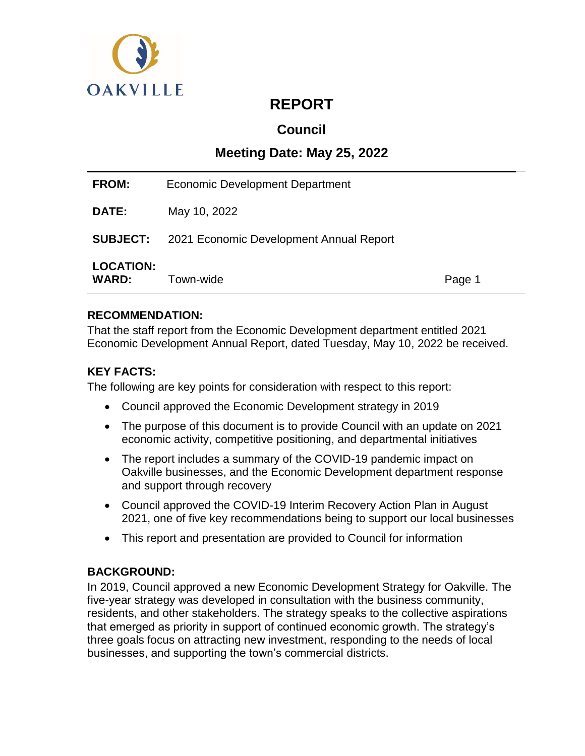

# **REPORT**

## **Council**

## **Meeting Date: May 25, 2022**

| <b>FROM:</b>                     | Economic Development Department                         |        |
|----------------------------------|---------------------------------------------------------|--------|
| <b>DATE:</b>                     | May 10, 2022                                            |        |
|                                  | <b>SUBJECT:</b> 2021 Economic Development Annual Report |        |
| <b>LOCATION:</b><br><b>WARD:</b> | Town-wide                                               | Page 1 |

## **RECOMMENDATION:**

That the staff report from the Economic Development department entitled 2021 Economic Development Annual Report, dated Tuesday, May 10, 2022 be received.

## **KEY FACTS:**

The following are key points for consideration with respect to this report:

- Council approved the Economic Development strategy in 2019
- The purpose of this document is to provide Council with an update on 2021 economic activity, competitive positioning, and departmental initiatives
- The report includes a summary of the COVID-19 pandemic impact on Oakville businesses, and the Economic Development department response and support through recovery
- Council approved the COVID-19 Interim Recovery Action Plan in August 2021, one of five key recommendations being to support our local businesses
- This report and presentation are provided to Council for information

## **BACKGROUND:**

In 2019, Council approved a new Economic Development Strategy for Oakville. The five-year strategy was developed in consultation with the business community, residents, and other stakeholders. The strategy speaks to the collective aspirations that emerged as priority in support of continued economic growth. The strategy's three goals focus on attracting new investment, responding to the needs of local businesses, and supporting the town's commercial districts.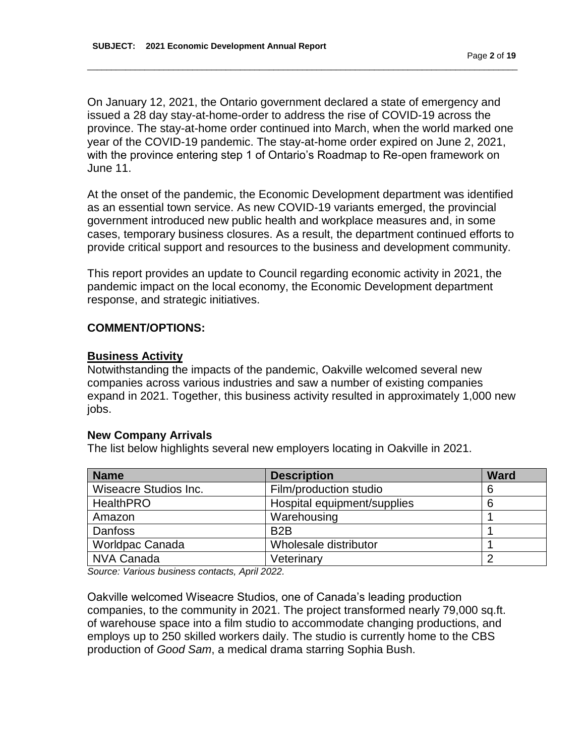On January 12, 2021, the Ontario government declared a state of emergency and issued a 28 day stay-at-home-order to address the rise of COVID-19 across the province. The stay-at-home order continued into March, when the world marked one year of the COVID-19 pandemic. The stay-at-home order expired on June 2, 2021, with the province entering step 1 of Ontario's Roadmap to Re-open framework on June 11.

\_\_\_\_\_\_\_\_\_\_\_\_\_\_\_\_\_\_\_\_\_\_\_\_\_\_\_\_\_\_\_\_\_\_\_\_\_\_\_\_\_\_\_\_\_\_\_\_\_\_\_\_\_\_\_\_\_\_\_\_\_\_\_\_\_\_\_\_\_\_\_\_\_\_\_\_\_\_\_\_\_\_\_\_\_\_\_\_\_\_

At the onset of the pandemic, the Economic Development department was identified as an essential town service. As new COVID-19 variants emerged, the provincial government introduced new public health and workplace measures and, in some cases, temporary business closures. As a result, the department continued efforts to provide critical support and resources to the business and development community.

This report provides an update to Council regarding economic activity in 2021, the pandemic impact on the local economy, the Economic Development department response, and strategic initiatives.

#### **COMMENT/OPTIONS:**

#### **Business Activity**

Notwithstanding the impacts of the pandemic, Oakville welcomed several new companies across various industries and saw a number of existing companies expand in 2021. Together, this business activity resulted in approximately 1,000 new jobs.

#### **New Company Arrivals**

The list below highlights several new employers locating in Oakville in 2021.

| <b>Name</b>                  | <b>Description</b>          | <b>Ward</b> |
|------------------------------|-----------------------------|-------------|
| <b>Wiseacre Studios Inc.</b> | Film/production studio      | 6           |
| <b>HealthPRO</b>             | Hospital equipment/supplies |             |
| Amazon                       | Warehousing                 |             |
| <b>Danfoss</b>               | B <sub>2</sub> B            |             |
| <b>Worldpac Canada</b>       | Wholesale distributor       |             |
| <b>NVA Canada</b>            | Veterinary                  |             |

*Source: Various business contacts, April 2022.*

Oakville welcomed Wiseacre Studios, one of Canada's leading production companies, to the community in 2021. The project transformed nearly 79,000 sq.ft. of warehouse space into a film studio to accommodate changing productions, and employs up to 250 skilled workers daily. The studio is currently home to the CBS production of *Good Sam*, a medical drama starring Sophia Bush.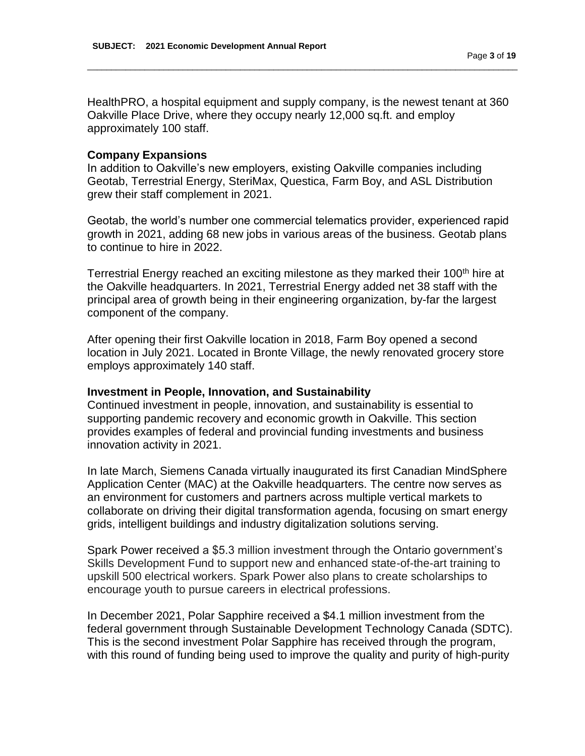HealthPRO, a hospital equipment and supply company, is the newest tenant at 360 Oakville Place Drive, where they occupy nearly 12,000 sq.ft. and employ approximately 100 staff.

\_\_\_\_\_\_\_\_\_\_\_\_\_\_\_\_\_\_\_\_\_\_\_\_\_\_\_\_\_\_\_\_\_\_\_\_\_\_\_\_\_\_\_\_\_\_\_\_\_\_\_\_\_\_\_\_\_\_\_\_\_\_\_\_\_\_\_\_\_\_\_\_\_\_\_\_\_\_\_\_\_\_\_\_\_\_\_\_\_\_

#### **Company Expansions**

In addition to Oakville's new employers, existing Oakville companies including Geotab, Terrestrial Energy, SteriMax, Questica, Farm Boy, and ASL Distribution grew their staff complement in 2021.

Geotab, the world's number one commercial telematics provider, experienced rapid growth in 2021, adding 68 new jobs in various areas of the business. Geotab plans to continue to hire in 2022.

Terrestrial Energy reached an exciting milestone as they marked their 100<sup>th</sup> hire at the Oakville headquarters. In 2021, Terrestrial Energy added net 38 staff with the principal area of growth being in their engineering organization, by-far the largest component of the company.

After opening their first Oakville location in 2018, Farm Boy opened a second location in July 2021. Located in Bronte Village, the newly renovated grocery store employs approximately 140 staff.

#### **Investment in People, Innovation, and Sustainability**

Continued investment in people, innovation, and sustainability is essential to supporting pandemic recovery and economic growth in Oakville. This section provides examples of federal and provincial funding investments and business innovation activity in 2021.

In late March, Siemens Canada virtually inaugurated its first Canadian MindSphere Application Center (MAC) at the Oakville headquarters. The centre now serves as an environment for customers and partners across multiple vertical markets to collaborate on driving their digital transformation agenda, focusing on smart energy grids, intelligent buildings and industry digitalization solutions serving.

Spark Power received a \$5.3 million investment through the Ontario government's Skills Development Fund to support new and enhanced state-of-the-art training to upskill 500 electrical workers. Spark Power also plans to create scholarships to encourage youth to pursue careers in electrical professions.

In December 2021, Polar Sapphire received a \$4.1 million investment from the federal government through Sustainable Development Technology Canada (SDTC). This is the second investment Polar Sapphire has received through the program, with this round of funding being used to improve the quality and purity of high-purity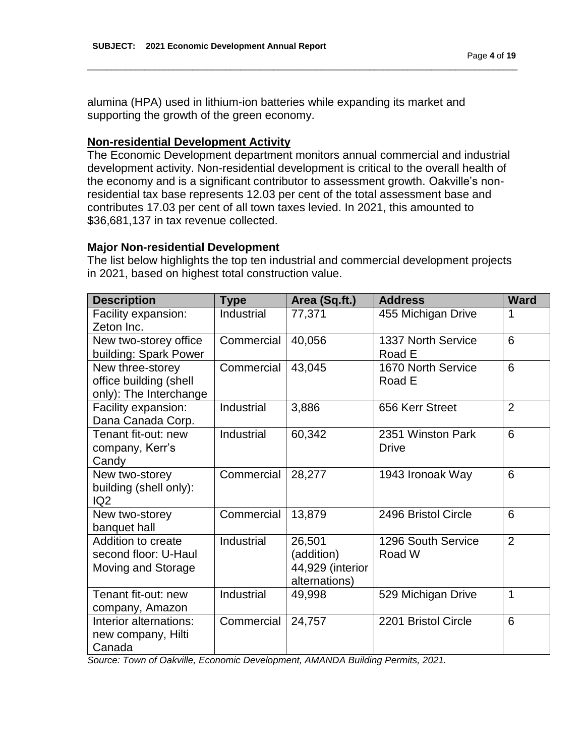alumina (HPA) used in lithium-ion batteries while expanding its market and supporting the growth of the green economy.

#### **Non-residential Development Activity**

The Economic Development department monitors annual commercial and industrial development activity. Non-residential development is critical to the overall health of the economy and is a significant contributor to assessment growth. Oakville's nonresidential tax base represents 12.03 per cent of the total assessment base and contributes 17.03 per cent of all town taxes levied. In 2021, this amounted to \$36,681,137 in tax revenue collected.

\_\_\_\_\_\_\_\_\_\_\_\_\_\_\_\_\_\_\_\_\_\_\_\_\_\_\_\_\_\_\_\_\_\_\_\_\_\_\_\_\_\_\_\_\_\_\_\_\_\_\_\_\_\_\_\_\_\_\_\_\_\_\_\_\_\_\_\_\_\_\_\_\_\_\_\_\_\_\_\_\_\_\_\_\_\_\_\_\_\_

#### **Major Non-residential Development**

The list below highlights the top ten industrial and commercial development projects in 2021, based on highest total construction value.

| <b>Description</b>                                                   | Type       | Area (Sq.ft.)                                             | <b>Address</b>                    | <b>Ward</b>    |
|----------------------------------------------------------------------|------------|-----------------------------------------------------------|-----------------------------------|----------------|
| Facility expansion:<br>Zeton Inc.                                    | Industrial | 77,371                                                    | 455 Michigan Drive                | 1              |
| New two-storey office<br>building: Spark Power                       | Commercial | 40,056                                                    | 1337 North Service<br>Road E      | 6              |
| New three-storey<br>office building (shell<br>only): The Interchange | Commercial | 43,045                                                    | 1670 North Service<br>Road E      | 6              |
| Facility expansion:<br>Dana Canada Corp.                             | Industrial | 3,886                                                     | 656 Kerr Street                   | $\overline{2}$ |
| Tenant fit-out: new<br>company, Kerr's<br>Candy                      | Industrial | 60,342                                                    | 2351 Winston Park<br><b>Drive</b> | 6              |
| New two-storey<br>building (shell only):<br>IQ <sub>2</sub>          | Commercial | 28,277                                                    | 1943 Ironoak Way                  | 6              |
| New two-storey<br>banquet hall                                       | Commercial | 13,879                                                    | 2496 Bristol Circle               | 6              |
| Addition to create<br>second floor: U-Haul<br>Moving and Storage     | Industrial | 26,501<br>(addition)<br>44,929 (interior<br>alternations) | 1296 South Service<br>Road W      | $\overline{2}$ |
| Tenant fit-out: new<br>company, Amazon                               | Industrial | 49,998                                                    | 529 Michigan Drive                | 1              |
| Interior alternations:<br>new company, Hilti<br>Canada               | Commercial | 24,757                                                    | 2201 Bristol Circle               | 6              |

*Source: Town of Oakville, Economic Development, AMANDA Building Permits, 2021.*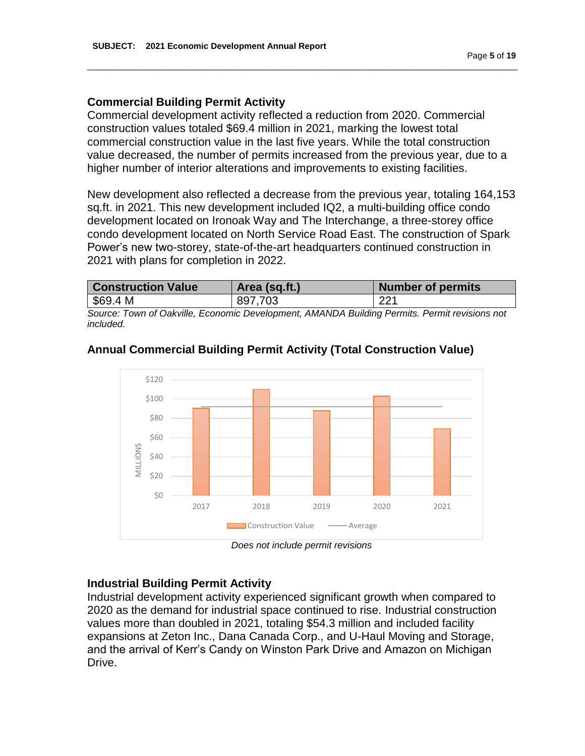## **Commercial Building Permit Activity**

Commercial development activity reflected a reduction from 2020. Commercial construction values totaled \$69.4 million in 2021, marking the lowest total commercial construction value in the last five years. While the total construction value decreased, the number of permits increased from the previous year, due to a higher number of interior alterations and improvements to existing facilities.

\_\_\_\_\_\_\_\_\_\_\_\_\_\_\_\_\_\_\_\_\_\_\_\_\_\_\_\_\_\_\_\_\_\_\_\_\_\_\_\_\_\_\_\_\_\_\_\_\_\_\_\_\_\_\_\_\_\_\_\_\_\_\_\_\_\_\_\_\_\_\_\_\_\_\_\_\_\_\_\_\_\_\_\_\_\_\_\_\_\_

New development also reflected a decrease from the previous year, totaling 164,153 sq.ft. in 2021. This new development included IQ2, a multi-building office condo development located on Ironoak Way and The Interchange, a three-storey office condo development located on North Service Road East. The construction of Spark Power's new two-storey, state-of-the-art headquarters continued construction in 2021 with plans for completion in 2022.

| <b>Construction Value</b>                                                                          | Area (sq.ft.) | <b>Number of permits</b> |
|----------------------------------------------------------------------------------------------------|---------------|--------------------------|
| $\frac{69.4 \text{ M}}{2}$                                                                         | 897,703       | 221                      |
| Original Trigor of Orleally Francisch, Drugbaggard, AMANIDA Dalldary Drugile, Drugil and strip and |               |                          |

*Source: Town of Oakville, Economic Development, AMANDA Building Permits. Permit revisions not included.* 



## **Annual Commercial Building Permit Activity (Total Construction Value)**

*Does not include permit revisions* 

## **Industrial Building Permit Activity**

Industrial development activity experienced significant growth when compared to 2020 as the demand for industrial space continued to rise. Industrial construction values more than doubled in 2021, totaling \$54.3 million and included facility expansions at Zeton Inc., Dana Canada Corp., and U-Haul Moving and Storage, and the arrival of Kerr's Candy on Winston Park Drive and Amazon on Michigan Drive.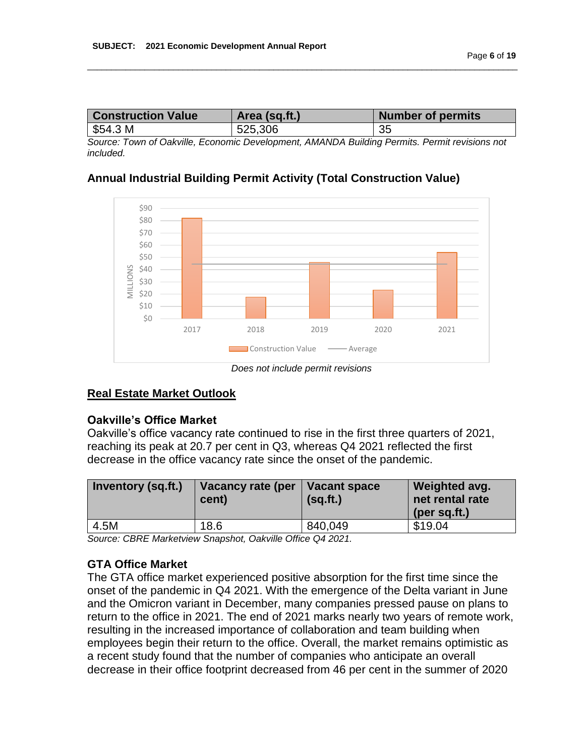| <b>Construction Value</b> | Area (sq.ft.) | <b>Number of permits</b> |
|---------------------------|---------------|--------------------------|
| 554.3 M                   | 525,306       | 35                       |

\_\_\_\_\_\_\_\_\_\_\_\_\_\_\_\_\_\_\_\_\_\_\_\_\_\_\_\_\_\_\_\_\_\_\_\_\_\_\_\_\_\_\_\_\_\_\_\_\_\_\_\_\_\_\_\_\_\_\_\_\_\_\_\_\_\_\_\_\_\_\_\_\_\_\_\_\_\_\_\_\_\_\_\_\_\_\_\_\_\_

*Source: Town of Oakville, Economic Development, AMANDA Building Permits. Permit revisions not included.* 

#### **Annual Industrial Building Permit Activity (Total Construction Value)**



*Does not include permit revisions* 

## **Real Estate Market Outlook**

#### **Oakville's Office Market**

Oakville's office vacancy rate continued to rise in the first three quarters of 2021, reaching its peak at 20.7 per cent in Q3, whereas Q4 2021 reflected the first decrease in the office vacancy rate since the onset of the pandemic.

| <b>Inventory (sq.ft.)</b> | Vacancy rate (per<br>cent) | $\vert$ Vacant space<br>(sq.fit.) | Weighted avg.<br>net rental rate<br>(per sq.ft.) |
|---------------------------|----------------------------|-----------------------------------|--------------------------------------------------|
| 4.5M                      | 18.6                       | 840,049                           | \$19.04                                          |

*Source: CBRE Marketview Snapshot, Oakville Office Q4 2021.* 

## **GTA Office Market**

The GTA office market experienced positive absorption for the first time since the onset of the pandemic in Q4 2021. With the emergence of the Delta variant in June and the Omicron variant in December, many companies pressed pause on plans to return to the office in 2021. The end of 2021 marks nearly two years of remote work, resulting in the increased importance of collaboration and team building when employees begin their return to the office. Overall, the market remains optimistic as a recent study found that the number of companies who anticipate an overall decrease in their office footprint decreased from 46 per cent in the summer of 2020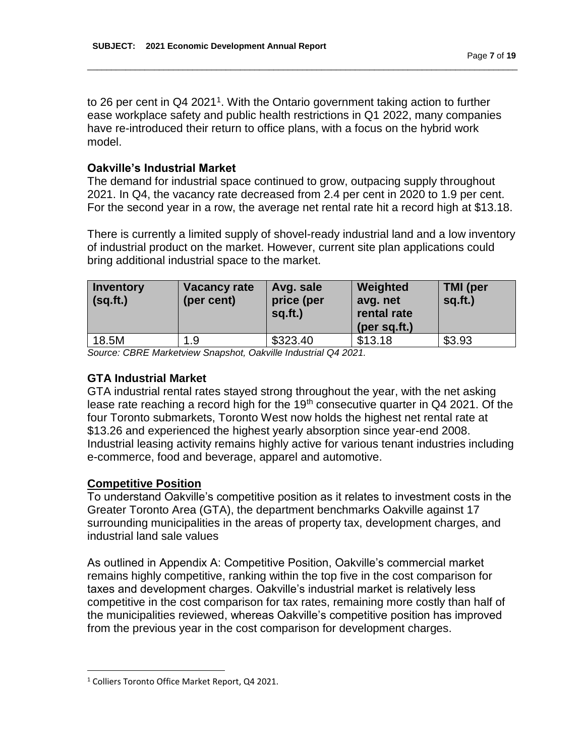to 26 per cent in  $Q4$  2021<sup>1</sup>. With the Ontario government taking action to further ease workplace safety and public health restrictions in Q1 2022, many companies have re-introduced their return to office plans, with a focus on the hybrid work model.

\_\_\_\_\_\_\_\_\_\_\_\_\_\_\_\_\_\_\_\_\_\_\_\_\_\_\_\_\_\_\_\_\_\_\_\_\_\_\_\_\_\_\_\_\_\_\_\_\_\_\_\_\_\_\_\_\_\_\_\_\_\_\_\_\_\_\_\_\_\_\_\_\_\_\_\_\_\_\_\_\_\_\_\_\_\_\_\_\_\_

#### **Oakville's Industrial Market**

The demand for industrial space continued to grow, outpacing supply throughout 2021. In Q4, the vacancy rate decreased from 2.4 per cent in 2020 to 1.9 per cent. For the second year in a row, the average net rental rate hit a record high at \$13.18.

There is currently a limited supply of shovel-ready industrial land and a low inventory of industrial product on the market. However, current site plan applications could bring additional industrial space to the market.

| <b>Inventory</b><br>(sq.fit.) | Vacancy rate<br>(per cent) | Avg. sale<br>price (per<br>sq.ft.) | Weighted<br>avg. net<br>rental rate<br>$(per$ sq.ft.) | <b>TMI</b> (per<br>$sq.fit.$ ) |
|-------------------------------|----------------------------|------------------------------------|-------------------------------------------------------|--------------------------------|
| 18.5M                         | 1.9                        | \$323.40                           | \$13.18                                               | \$3.93                         |

*Source: CBRE Marketview Snapshot, Oakville Industrial Q4 2021.* 

#### **GTA Industrial Market**

GTA industrial rental rates stayed strong throughout the year, with the net asking lease rate reaching a record high for the 19<sup>th</sup> consecutive quarter in Q4 2021. Of the four Toronto submarkets, Toronto West now holds the highest net rental rate at \$13.26 and experienced the highest yearly absorption since year-end 2008. Industrial leasing activity remains highly active for various tenant industries including e-commerce, food and beverage, apparel and automotive.

## **Competitive Position**

l

To understand Oakville's competitive position as it relates to investment costs in the Greater Toronto Area (GTA), the department benchmarks Oakville against 17 surrounding municipalities in the areas of property tax, development charges, and industrial land sale values

As outlined in Appendix A: Competitive Position, Oakville's commercial market remains highly competitive, ranking within the top five in the cost comparison for taxes and development charges. Oakville's industrial market is relatively less competitive in the cost comparison for tax rates, remaining more costly than half of the municipalities reviewed, whereas Oakville's competitive position has improved from the previous year in the cost comparison for development charges.

<sup>1</sup> Colliers Toronto Office Market Report, Q4 2021.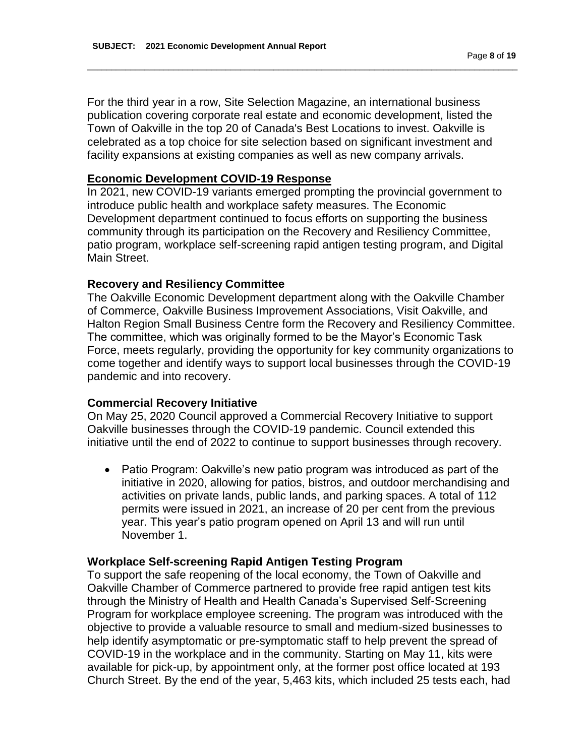For the third year in a row, Site Selection Magazine, an international business publication covering corporate real estate and economic development, listed the Town of Oakville in the top 20 of Canada's Best Locations to invest. Oakville is celebrated as a top choice for site selection based on significant investment and facility expansions at existing companies as well as new company arrivals.

\_\_\_\_\_\_\_\_\_\_\_\_\_\_\_\_\_\_\_\_\_\_\_\_\_\_\_\_\_\_\_\_\_\_\_\_\_\_\_\_\_\_\_\_\_\_\_\_\_\_\_\_\_\_\_\_\_\_\_\_\_\_\_\_\_\_\_\_\_\_\_\_\_\_\_\_\_\_\_\_\_\_\_\_\_\_\_\_\_\_

#### **Economic Development COVID-19 Response**

In 2021, new COVID-19 variants emerged prompting the provincial government to introduce public health and workplace safety measures. The Economic Development department continued to focus efforts on supporting the business community through its participation on the Recovery and Resiliency Committee, patio program, workplace self-screening rapid antigen testing program, and Digital Main Street.

#### **Recovery and Resiliency Committee**

The Oakville Economic Development department along with the Oakville Chamber of Commerce, Oakville Business Improvement Associations, Visit Oakville, and Halton Region Small Business Centre form the Recovery and Resiliency Committee. The committee, which was originally formed to be the Mayor's Economic Task Force, meets regularly, providing the opportunity for key community organizations to come together and identify ways to support local businesses through the COVID-19 pandemic and into recovery.

#### **Commercial Recovery Initiative**

On May 25, 2020 Council approved a Commercial Recovery Initiative to support Oakville businesses through the COVID-19 pandemic. Council extended this initiative until the end of 2022 to continue to support businesses through recovery.

• Patio Program: Oakville's new patio program was introduced as part of the initiative in 2020, allowing for patios, bistros, and outdoor merchandising and activities on private lands, public lands, and parking spaces. A total of 112 permits were issued in 2021, an increase of 20 per cent from the previous year. This year's patio program opened on April 13 and will run until November 1.

## **Workplace Self-screening Rapid Antigen Testing Program**

To support the safe reopening of the local economy, the Town of Oakville and Oakville Chamber of Commerce partnered to provide free rapid antigen test kits through the Ministry of Health and Health Canada's Supervised Self-Screening Program for workplace employee screening. The program was introduced with the objective to provide a valuable resource to small and medium-sized businesses to help identify asymptomatic or pre-symptomatic staff to help prevent the spread of COVID-19 in the workplace and in the community. Starting on May 11, kits were available for pick-up, by appointment only, at the former post office located at 193 Church Street. By the end of the year, 5,463 kits, which included 25 tests each, had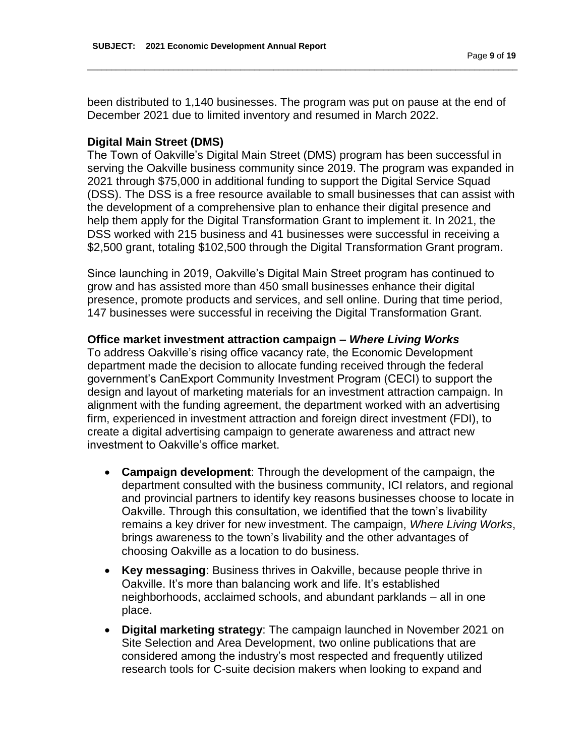been distributed to 1,140 businesses. The program was put on pause at the end of December 2021 due to limited inventory and resumed in March 2022.

\_\_\_\_\_\_\_\_\_\_\_\_\_\_\_\_\_\_\_\_\_\_\_\_\_\_\_\_\_\_\_\_\_\_\_\_\_\_\_\_\_\_\_\_\_\_\_\_\_\_\_\_\_\_\_\_\_\_\_\_\_\_\_\_\_\_\_\_\_\_\_\_\_\_\_\_\_\_\_\_\_\_\_\_\_\_\_\_\_\_

#### **Digital Main Street (DMS)**

The Town of Oakville's Digital Main Street (DMS) program has been successful in serving the Oakville business community since 2019. The program was expanded in 2021 through \$75,000 in additional funding to support the Digital Service Squad (DSS). The DSS is a free resource available to small businesses that can assist with the development of a comprehensive plan to enhance their digital presence and help them apply for the Digital Transformation Grant to implement it. In 2021, the DSS worked with 215 business and 41 businesses were successful in receiving a \$2,500 grant, totaling \$102,500 through the Digital Transformation Grant program.

Since launching in 2019, Oakville's Digital Main Street program has continued to grow and has assisted more than 450 small businesses enhance their digital presence, promote products and services, and sell online. During that time period, 147 businesses were successful in receiving the Digital Transformation Grant.

#### **Office market investment attraction campaign –** *Where Living Works*

To address Oakville's rising office vacancy rate, the Economic Development department made the decision to allocate funding received through the federal government's CanExport Community Investment Program (CECI) to support the design and layout of marketing materials for an investment attraction campaign. In alignment with the funding agreement, the department worked with an advertising firm, experienced in investment attraction and foreign direct investment (FDI), to create a digital advertising campaign to generate awareness and attract new investment to Oakville's office market.

- **Campaign development**: Through the development of the campaign, the department consulted with the business community, ICI relators, and regional and provincial partners to identify key reasons businesses choose to locate in Oakville. Through this consultation, we identified that the town's livability remains a key driver for new investment. The campaign, *Where Living Works*, brings awareness to the town's livability and the other advantages of choosing Oakville as a location to do business.
- **Key messaging**: Business thrives in Oakville, because people thrive in Oakville. It's more than balancing work and life. It's established neighborhoods, acclaimed schools, and abundant parklands – all in one place.
- **Digital marketing strategy**: The campaign launched in November 2021 on Site Selection and Area Development, two online publications that are considered among the industry's most respected and frequently utilized research tools for C-suite decision makers when looking to expand and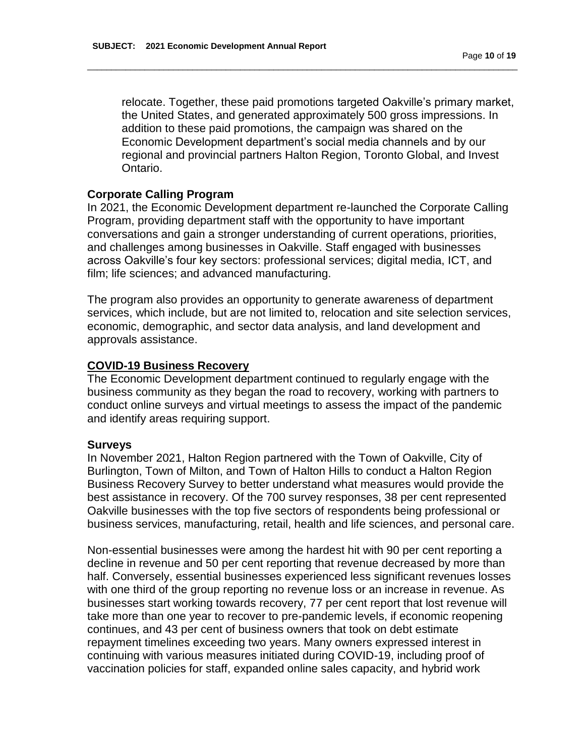relocate. Together, these paid promotions targeted Oakville's primary market, the United States, and generated approximately 500 gross impressions. In addition to these paid promotions, the campaign was shared on the Economic Development department's social media channels and by our regional and provincial partners Halton Region, Toronto Global, and Invest Ontario.

\_\_\_\_\_\_\_\_\_\_\_\_\_\_\_\_\_\_\_\_\_\_\_\_\_\_\_\_\_\_\_\_\_\_\_\_\_\_\_\_\_\_\_\_\_\_\_\_\_\_\_\_\_\_\_\_\_\_\_\_\_\_\_\_\_\_\_\_\_\_\_\_\_\_\_\_\_\_\_\_\_\_\_\_\_\_\_\_\_\_

## **Corporate Calling Program**

In 2021, the Economic Development department re-launched the Corporate Calling Program, providing department staff with the opportunity to have important conversations and gain a stronger understanding of current operations, priorities, and challenges among businesses in Oakville. Staff engaged with businesses across Oakville's four key sectors: professional services; digital media, ICT, and film; life sciences; and advanced manufacturing.

The program also provides an opportunity to generate awareness of department services, which include, but are not limited to, relocation and site selection services, economic, demographic, and sector data analysis, and land development and approvals assistance.

## **COVID-19 Business Recovery**

The Economic Development department continued to regularly engage with the business community as they began the road to recovery, working with partners to conduct online surveys and virtual meetings to assess the impact of the pandemic and identify areas requiring support.

#### **Surveys**

In November 2021, Halton Region partnered with the Town of Oakville, City of Burlington, Town of Milton, and Town of Halton Hills to conduct a Halton Region Business Recovery Survey to better understand what measures would provide the best assistance in recovery. Of the 700 survey responses, 38 per cent represented Oakville businesses with the top five sectors of respondents being professional or business services, manufacturing, retail, health and life sciences, and personal care.

Non-essential businesses were among the hardest hit with 90 per cent reporting a decline in revenue and 50 per cent reporting that revenue decreased by more than half. Conversely, essential businesses experienced less significant revenues losses with one third of the group reporting no revenue loss or an increase in revenue. As businesses start working towards recovery, 77 per cent report that lost revenue will take more than one year to recover to pre-pandemic levels, if economic reopening continues, and 43 per cent of business owners that took on debt estimate repayment timelines exceeding two years. Many owners expressed interest in continuing with various measures initiated during COVID-19, including proof of vaccination policies for staff, expanded online sales capacity, and hybrid work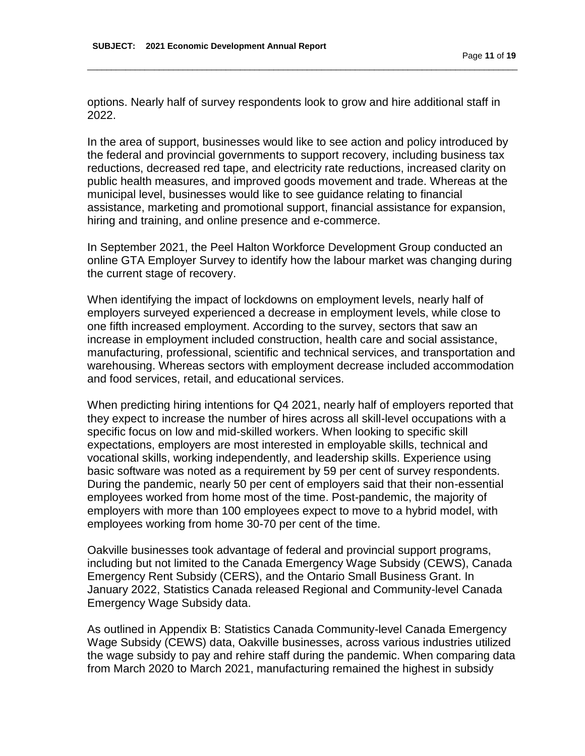options. Nearly half of survey respondents look to grow and hire additional staff in 2022.

\_\_\_\_\_\_\_\_\_\_\_\_\_\_\_\_\_\_\_\_\_\_\_\_\_\_\_\_\_\_\_\_\_\_\_\_\_\_\_\_\_\_\_\_\_\_\_\_\_\_\_\_\_\_\_\_\_\_\_\_\_\_\_\_\_\_\_\_\_\_\_\_\_\_\_\_\_\_\_\_\_\_\_\_\_\_\_\_\_\_

In the area of support, businesses would like to see action and policy introduced by the federal and provincial governments to support recovery, including business tax reductions, decreased red tape, and electricity rate reductions, increased clarity on public health measures, and improved goods movement and trade. Whereas at the municipal level, businesses would like to see guidance relating to financial assistance, marketing and promotional support, financial assistance for expansion, hiring and training, and online presence and e-commerce.

In September 2021, the Peel Halton Workforce Development Group conducted an online GTA Employer Survey to identify how the labour market was changing during the current stage of recovery.

When identifying the impact of lockdowns on employment levels, nearly half of employers surveyed experienced a decrease in employment levels, while close to one fifth increased employment. According to the survey, sectors that saw an increase in employment included construction, health care and social assistance, manufacturing, professional, scientific and technical services, and transportation and warehousing. Whereas sectors with employment decrease included accommodation and food services, retail, and educational services.

When predicting hiring intentions for Q4 2021, nearly half of employers reported that they expect to increase the number of hires across all skill-level occupations with a specific focus on low and mid-skilled workers. When looking to specific skill expectations, employers are most interested in employable skills, technical and vocational skills, working independently, and leadership skills. Experience using basic software was noted as a requirement by 59 per cent of survey respondents. During the pandemic, nearly 50 per cent of employers said that their non-essential employees worked from home most of the time. Post-pandemic, the majority of employers with more than 100 employees expect to move to a hybrid model, with employees working from home 30-70 per cent of the time.

Oakville businesses took advantage of federal and provincial support programs, including but not limited to the Canada Emergency Wage Subsidy (CEWS), Canada Emergency Rent Subsidy (CERS), and the Ontario Small Business Grant. In January 2022, Statistics Canada released Regional and Community-level Canada Emergency Wage Subsidy data.

As outlined in Appendix B: Statistics Canada Community-level Canada Emergency Wage Subsidy (CEWS) data, Oakville businesses, across various industries utilized the wage subsidy to pay and rehire staff during the pandemic. When comparing data from March 2020 to March 2021, manufacturing remained the highest in subsidy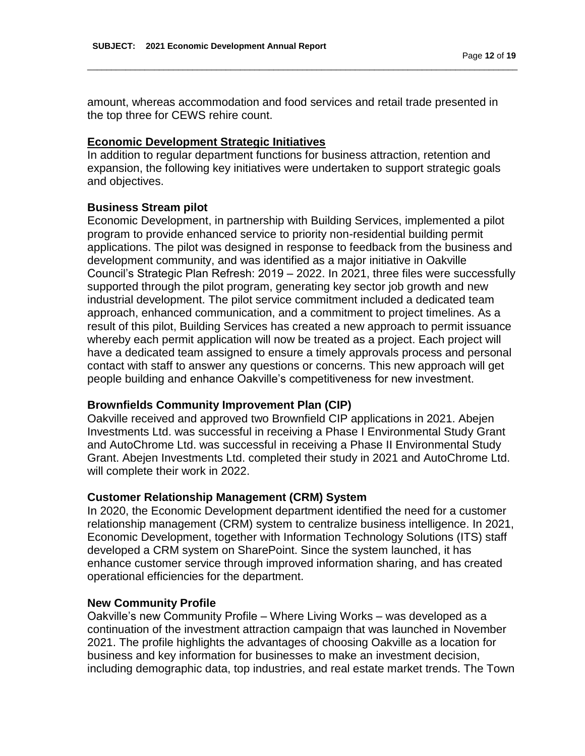amount, whereas accommodation and food services and retail trade presented in the top three for CEWS rehire count.

\_\_\_\_\_\_\_\_\_\_\_\_\_\_\_\_\_\_\_\_\_\_\_\_\_\_\_\_\_\_\_\_\_\_\_\_\_\_\_\_\_\_\_\_\_\_\_\_\_\_\_\_\_\_\_\_\_\_\_\_\_\_\_\_\_\_\_\_\_\_\_\_\_\_\_\_\_\_\_\_\_\_\_\_\_\_\_\_\_\_

#### **Economic Development Strategic Initiatives**

In addition to regular department functions for business attraction, retention and expansion, the following key initiatives were undertaken to support strategic goals and objectives.

#### **Business Stream pilot**

Economic Development, in partnership with Building Services, implemented a pilot program to provide enhanced service to priority non-residential building permit applications. The pilot was designed in response to feedback from the business and development community, and was identified as a major initiative in Oakville Council's Strategic Plan Refresh: 2019 – 2022. In 2021, three files were successfully supported through the pilot program, generating key sector job growth and new industrial development. The pilot service commitment included a dedicated team approach, enhanced communication, and a commitment to project timelines. As a result of this pilot, Building Services has created a new approach to permit issuance whereby each permit application will now be treated as a project. Each project will have a dedicated team assigned to ensure a timely approvals process and personal contact with staff to answer any questions or concerns. This new approach will get people building and enhance Oakville's competitiveness for new investment.

#### **Brownfields Community Improvement Plan (CIP)**

Oakville received and approved two Brownfield CIP applications in 2021. Abejen Investments Ltd. was successful in receiving a Phase I Environmental Study Grant and AutoChrome Ltd. was successful in receiving a Phase II Environmental Study Grant. Abejen Investments Ltd. completed their study in 2021 and AutoChrome Ltd. will complete their work in 2022.

#### **Customer Relationship Management (CRM) System**

In 2020, the Economic Development department identified the need for a customer relationship management (CRM) system to centralize business intelligence. In 2021, Economic Development, together with Information Technology Solutions (ITS) staff developed a CRM system on SharePoint. Since the system launched, it has enhance customer service through improved information sharing, and has created operational efficiencies for the department.

#### **New Community Profile**

Oakville's new Community Profile – Where Living Works – was developed as a continuation of the investment attraction campaign that was launched in November 2021. The profile highlights the advantages of choosing Oakville as a location for business and key information for businesses to make an investment decision, including demographic data, top industries, and real estate market trends. The Town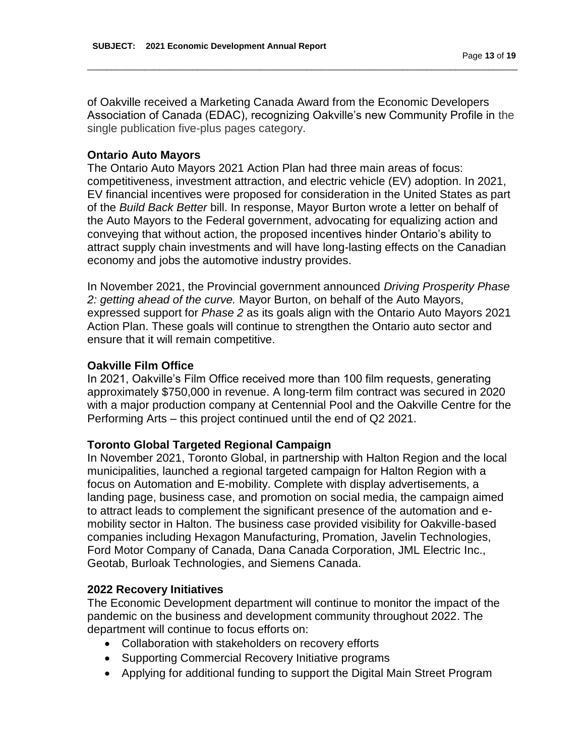Page **13** of **19** \_\_\_\_\_\_\_\_\_\_\_\_\_\_\_\_\_\_\_\_\_\_\_\_\_\_\_\_\_\_\_\_\_\_\_\_\_\_\_\_\_\_\_\_\_\_\_\_\_\_\_\_\_\_\_\_\_\_\_\_\_\_\_\_\_\_\_\_\_\_\_\_\_\_\_\_\_\_\_\_\_\_\_\_\_\_\_\_\_\_

of Oakville received a Marketing Canada Award from the Economic Developers Association of Canada (EDAC), recognizing Oakville's new Community Profile in the single publication five-plus pages category.

## **Ontario Auto Mayors**

The Ontario Auto Mayors 2021 Action Plan had three main areas of focus: competitiveness, investment attraction, and electric vehicle (EV) adoption. In 2021, EV financial incentives were proposed for consideration in the United States as part of the *Build Back Better* bill. In response, Mayor Burton wrote a letter on behalf of the Auto Mayors to the Federal government, advocating for equalizing action and conveying that without action, the proposed incentives hinder Ontario's ability to attract supply chain investments and will have long-lasting effects on the Canadian economy and jobs the automotive industry provides.

In November 2021, the Provincial government announced *Driving Prosperity Phase 2: getting ahead of the curve.* Mayor Burton, on behalf of the Auto Mayors, expressed support for *Phase 2* as its goals align with the Ontario Auto Mayors 2021 Action Plan. These goals will continue to strengthen the Ontario auto sector and ensure that it will remain competitive.

## **Oakville Film Office**

In 2021, Oakville's Film Office received more than 100 film requests, generating approximately \$750,000 in revenue. A long-term film contract was secured in 2020 with a major production company at Centennial Pool and the Oakville Centre for the Performing Arts – this project continued until the end of Q2 2021.

## **Toronto Global Targeted Regional Campaign**

In November 2021, Toronto Global, in partnership with Halton Region and the local municipalities, launched a regional targeted campaign for Halton Region with a focus on Automation and E-mobility. Complete with display advertisements, a landing page, business case, and promotion on social media, the campaign aimed to attract leads to complement the significant presence of the automation and emobility sector in Halton. The business case provided visibility for Oakville-based companies including Hexagon Manufacturing, Promation, Javelin Technologies, Ford Motor Company of Canada, Dana Canada Corporation, JML Electric Inc., Geotab, Burloak Technologies, and Siemens Canada.

## **2022 Recovery Initiatives**

The Economic Development department will continue to monitor the impact of the pandemic on the business and development community throughout 2022. The department will continue to focus efforts on:

- Collaboration with stakeholders on recovery efforts
- Supporting Commercial Recovery Initiative programs
- Applying for additional funding to support the Digital Main Street Program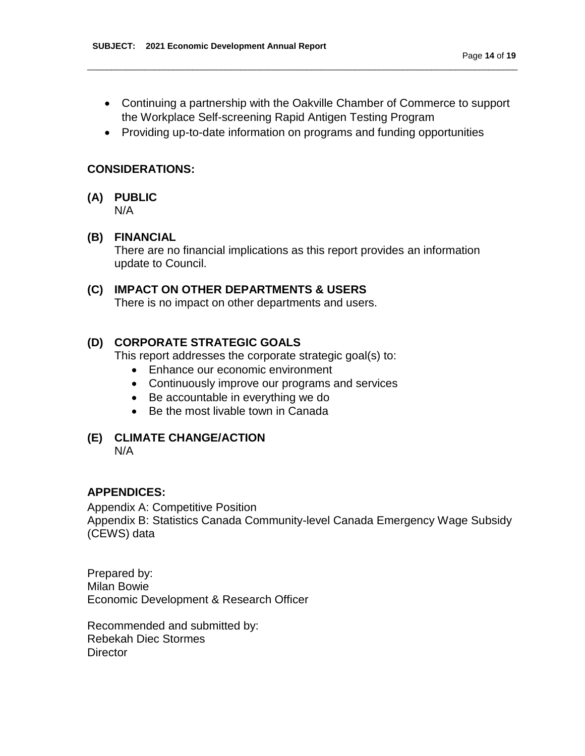Continuing a partnership with the Oakville Chamber of Commerce to support the Workplace Self-screening Rapid Antigen Testing Program

\_\_\_\_\_\_\_\_\_\_\_\_\_\_\_\_\_\_\_\_\_\_\_\_\_\_\_\_\_\_\_\_\_\_\_\_\_\_\_\_\_\_\_\_\_\_\_\_\_\_\_\_\_\_\_\_\_\_\_\_\_\_\_\_\_\_\_\_\_\_\_\_\_\_\_\_\_\_\_\_\_\_\_\_\_\_\_\_\_\_

• Providing up-to-date information on programs and funding opportunities

## **CONSIDERATIONS:**

**(A) PUBLIC** N/A

## **(B) FINANCIAL**

There are no financial implications as this report provides an information update to Council.

## **(C) IMPACT ON OTHER DEPARTMENTS & USERS**

There is no impact on other departments and users.

## **(D) CORPORATE STRATEGIC GOALS**

This report addresses the corporate strategic goal(s) to:

- Enhance our economic environment
- Continuously improve our programs and services
- Be accountable in everything we do
- Be the most livable town in Canada

#### **(E) CLIMATE CHANGE/ACTION** N/A

#### **APPENDICES:**

Appendix A: Competitive Position Appendix B: Statistics Canada Community-level Canada Emergency Wage Subsidy (CEWS) data

Prepared by: Milan Bowie Economic Development & Research Officer

Recommended and submitted by: Rebekah Diec Stormes **Director**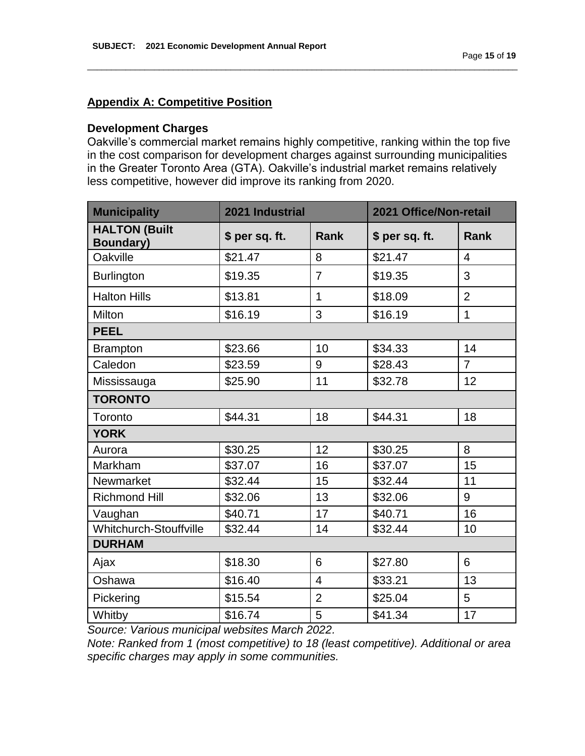## **Appendix A: Competitive Position**

#### **Development Charges**

Oakville's commercial market remains highly competitive, ranking within the top five in the cost comparison for development charges against surrounding municipalities in the Greater Toronto Area (GTA). Oakville's industrial market remains relatively less competitive, however did improve its ranking from 2020.

\_\_\_\_\_\_\_\_\_\_\_\_\_\_\_\_\_\_\_\_\_\_\_\_\_\_\_\_\_\_\_\_\_\_\_\_\_\_\_\_\_\_\_\_\_\_\_\_\_\_\_\_\_\_\_\_\_\_\_\_\_\_\_\_\_\_\_\_\_\_\_\_\_\_\_\_\_\_\_\_\_\_\_\_\_\_\_\_\_\_

| <b>Municipality</b>                      | 2021 Industrial |                | 2021 Office/Non-retail |                |
|------------------------------------------|-----------------|----------------|------------------------|----------------|
| <b>HALTON (Built</b><br><b>Boundary)</b> | \$ per sq. ft.  | Rank           | \$ per sq. ft.         | <b>Rank</b>    |
| Oakville                                 | \$21.47         | 8              | \$21.47                | $\overline{4}$ |
| <b>Burlington</b>                        | \$19.35         | $\overline{7}$ | \$19.35                | 3              |
| <b>Halton Hills</b>                      | \$13.81         | $\mathbf{1}$   | \$18.09                | $\overline{2}$ |
| Milton                                   | \$16.19         | 3              | \$16.19                | $\mathbf{1}$   |
| <b>PEEL</b>                              |                 |                |                        |                |
| <b>Brampton</b>                          | \$23.66         | 10             | \$34.33                | 14             |
| Caledon                                  | \$23.59         | 9              | \$28.43                | $\overline{7}$ |
| Mississauga                              | \$25.90         | 11             | \$32.78                | 12             |
| <b>TORONTO</b>                           |                 |                |                        |                |
| Toronto                                  | \$44.31         | 18             | \$44.31                | 18             |
| <b>YORK</b>                              |                 |                |                        |                |
| Aurora                                   | \$30.25         | 12             | \$30.25                | 8              |
| Markham                                  | \$37.07         | 16             | \$37.07                | 15             |
| Newmarket                                | \$32.44         | 15             | \$32.44                | 11             |
| <b>Richmond Hill</b>                     | \$32.06         | 13             | \$32.06                | 9              |
| Vaughan                                  | \$40.71         | 17             | \$40.71                | 16             |
| Whitchurch-Stouffville                   | \$32.44         | 14             | \$32.44                | 10             |
| <b>DURHAM</b>                            |                 |                |                        |                |
| Ajax                                     | \$18.30         | 6              | \$27.80                | 6              |
| Oshawa                                   | \$16.40         | $\overline{4}$ | \$33.21                | 13             |
| Pickering                                | \$15.54         | $\overline{2}$ | \$25.04                | 5              |
| Whitby                                   | \$16.74         | 5              | \$41.34                | 17             |

*Source: Various municipal websites March 2022.* 

*Note: Ranked from 1 (most competitive) to 18 (least competitive). Additional or area specific charges may apply in some communities.*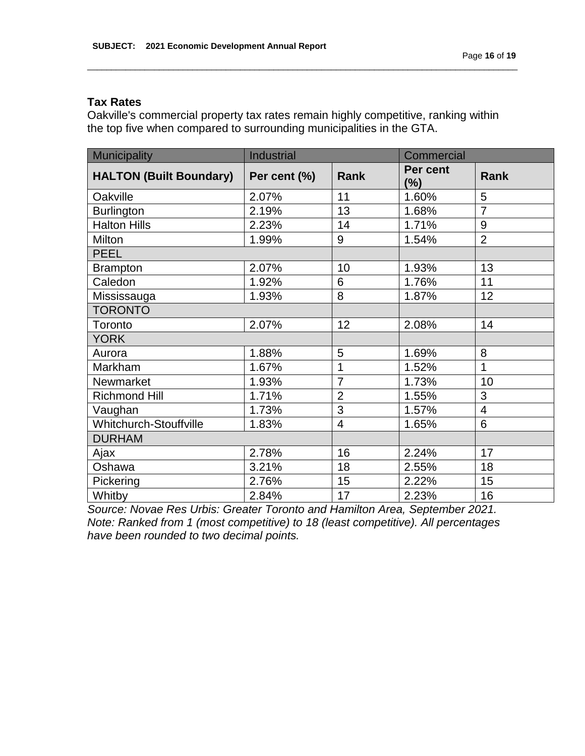## **Tax Rates**

Oakville's commercial property tax rates remain highly competitive, ranking within the top five when compared to surrounding municipalities in the GTA.

\_\_\_\_\_\_\_\_\_\_\_\_\_\_\_\_\_\_\_\_\_\_\_\_\_\_\_\_\_\_\_\_\_\_\_\_\_\_\_\_\_\_\_\_\_\_\_\_\_\_\_\_\_\_\_\_\_\_\_\_\_\_\_\_\_\_\_\_\_\_\_\_\_\_\_\_\_\_\_\_\_\_\_\_\_\_\_\_\_\_

| <b>Municipality</b>            | <b>Industrial</b> |                | Commercial         |                |
|--------------------------------|-------------------|----------------|--------------------|----------------|
| <b>HALTON (Built Boundary)</b> | Per cent (%)      | Rank           | Per cent<br>$(\%)$ | Rank           |
| Oakville                       | 2.07%             | 11             | 1.60%              | 5              |
| <b>Burlington</b>              | 2.19%             | 13             | 1.68%              | $\overline{7}$ |
| <b>Halton Hills</b>            | 2.23%             | 14             | 1.71%              | 9              |
| Milton                         | 1.99%             | 9              | 1.54%              | $\overline{2}$ |
| <b>PEEL</b>                    |                   |                |                    |                |
| <b>Brampton</b>                | 2.07%             | 10             | 1.93%              | 13             |
| Caledon                        | 1.92%             | 6              | 1.76%              | 11             |
| Mississauga                    | 1.93%             | 8              | 1.87%              | 12             |
| <b>TORONTO</b>                 |                   |                |                    |                |
| Toronto                        | 2.07%             | 12             | 2.08%              | 14             |
| <b>YORK</b>                    |                   |                |                    |                |
| Aurora                         | 1.88%             | 5              | 1.69%              | 8              |
| Markham                        | 1.67%             | $\mathbf 1$    | 1.52%              | 1              |
| Newmarket                      | 1.93%             | $\overline{7}$ | 1.73%              | 10             |
| <b>Richmond Hill</b>           | 1.71%             | $\overline{2}$ | 1.55%              | 3              |
| Vaughan                        | 1.73%             | 3              | 1.57%              | 4              |
| Whitchurch-Stouffville         | 1.83%             | $\overline{4}$ | 1.65%              | 6              |
| <b>DURHAM</b>                  |                   |                |                    |                |
| Ajax                           | 2.78%             | 16             | 2.24%              | 17             |
| Oshawa                         | 3.21%             | 18             | 2.55%              | 18             |
| Pickering                      | 2.76%             | 15             | 2.22%              | 15             |
| Whitby                         | 2.84%             | 17             | 2.23%              | 16             |

*Source: Novae Res Urbis: Greater Toronto and Hamilton Area, September 2021. Note: Ranked from 1 (most competitive) to 18 (least competitive). All percentages have been rounded to two decimal points.*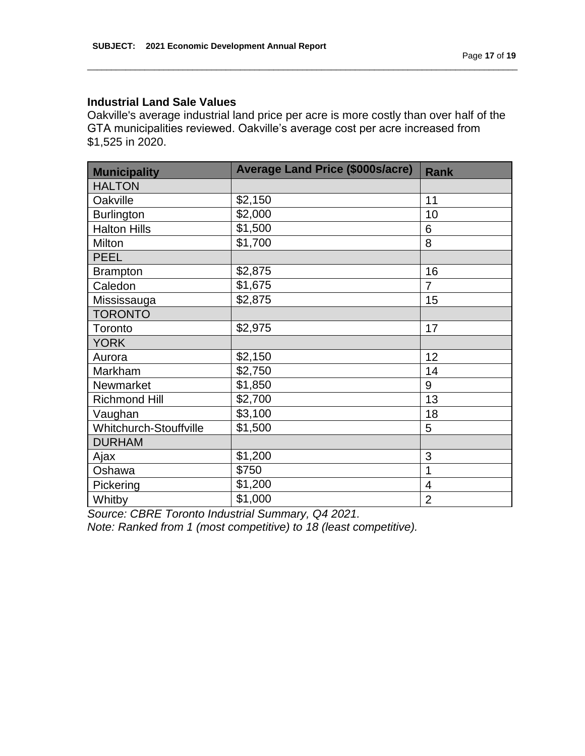## **Industrial Land Sale Values**

Oakville's average industrial land price per acre is more costly than over half of the GTA municipalities reviewed. Oakville's average cost per acre increased from \$1,525 in 2020.

\_\_\_\_\_\_\_\_\_\_\_\_\_\_\_\_\_\_\_\_\_\_\_\_\_\_\_\_\_\_\_\_\_\_\_\_\_\_\_\_\_\_\_\_\_\_\_\_\_\_\_\_\_\_\_\_\_\_\_\_\_\_\_\_\_\_\_\_\_\_\_\_\_\_\_\_\_\_\_\_\_\_\_\_\_\_\_\_\_\_

| <b>Municipality</b>    | <b>Average Land Price (\$000s/acre)</b> | <b>Rank</b>    |
|------------------------|-----------------------------------------|----------------|
| <b>HALTON</b>          |                                         |                |
| Oakville               | \$2,150                                 | 11             |
| <b>Burlington</b>      | \$2,000                                 | 10             |
| <b>Halton Hills</b>    | \$1,500                                 | 6              |
| Milton                 | \$1,700                                 | 8              |
| <b>PEEL</b>            |                                         |                |
| <b>Brampton</b>        | \$2,875                                 | 16             |
| Caledon                | \$1,675                                 | $\overline{7}$ |
| Mississauga            | \$2,875                                 | 15             |
| <b>TORONTO</b>         |                                         |                |
| Toronto                | \$2,975                                 | 17             |
| <b>YORK</b>            |                                         |                |
| Aurora                 | \$2,150                                 | 12             |
| Markham                | \$2,750                                 | 14             |
| Newmarket              | \$1,850                                 | 9              |
| <b>Richmond Hill</b>   | \$2,700                                 | 13             |
| Vaughan                | \$3,100                                 | 18             |
| Whitchurch-Stouffville | \$1,500                                 | 5              |
| <b>DURHAM</b>          |                                         |                |
| Ajax                   | \$1,200                                 | 3              |
| Oshawa                 | \$750                                   | 1              |
| Pickering              | \$1,200                                 | $\overline{4}$ |
| Whitby                 | \$1,000                                 | $\overline{2}$ |

*Source: CBRE Toronto Industrial Summary, Q4 2021.*

*Note: Ranked from 1 (most competitive) to 18 (least competitive).*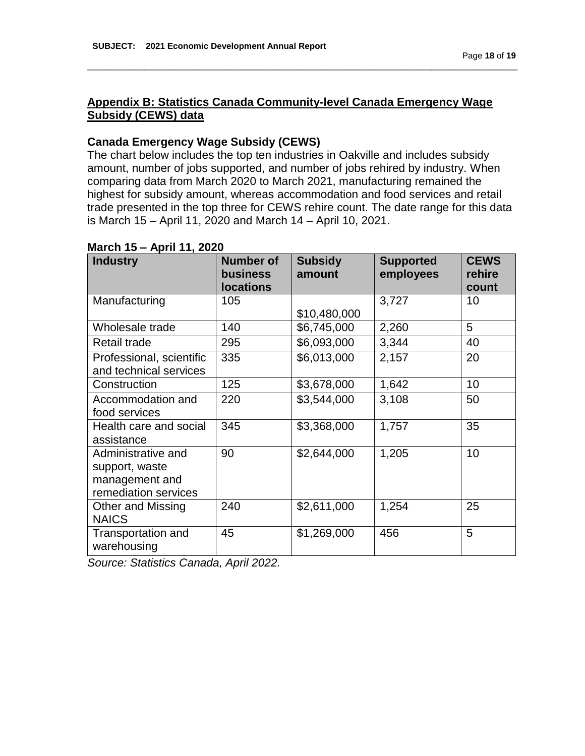## **Appendix B: Statistics Canada Community-level Canada Emergency Wage Subsidy (CEWS) data**

\_\_\_\_\_\_\_\_\_\_\_\_\_\_\_\_\_\_\_\_\_\_\_\_\_\_\_\_\_\_\_\_\_\_\_\_\_\_\_\_\_\_\_\_\_\_\_\_\_\_\_\_\_\_\_\_\_\_\_\_\_\_\_\_\_\_\_\_\_\_\_\_\_\_\_\_\_\_\_\_\_\_\_\_\_\_\_\_\_\_

## **Canada Emergency Wage Subsidy (CEWS)**

The chart below includes the top ten industries in Oakville and includes subsidy amount, number of jobs supported, and number of jobs rehired by industry. When comparing data from March 2020 to March 2021, manufacturing remained the highest for subsidy amount, whereas accommodation and food services and retail trade presented in the top three for CEWS rehire count. The date range for this data is March 15 – April 11, 2020 and March 14 – April 10, 2021.

| <b>Industry</b>          | <b>Number of</b><br>business | <b>Subsidy</b><br>amount | <b>Supported</b><br>employees | <b>CEWS</b><br>rehire |
|--------------------------|------------------------------|--------------------------|-------------------------------|-----------------------|
|                          | <b>locations</b>             |                          |                               | count                 |
| Manufacturing            | 105                          |                          | 3,727                         | 10                    |
|                          |                              | \$10,480,000             |                               |                       |
| Wholesale trade          | 140                          | \$6,745,000              | 2,260                         | 5                     |
| <b>Retail trade</b>      | 295                          | \$6,093,000              | 3,344                         | 40                    |
| Professional, scientific | 335                          | \$6,013,000              | 2,157                         | 20                    |
| and technical services   |                              |                          |                               |                       |
| Construction             | 125                          | \$3,678,000              | 1,642                         | 10                    |
| Accommodation and        | 220                          | \$3,544,000              | 3,108                         | 50                    |
| food services            |                              |                          |                               |                       |
| Health care and social   | 345                          | \$3,368,000              | 1,757                         | 35                    |
| assistance               |                              |                          |                               |                       |
| Administrative and       | 90                           | \$2,644,000              | 1,205                         | 10                    |
| support, waste           |                              |                          |                               |                       |
| management and           |                              |                          |                               |                       |
| remediation services     |                              |                          |                               |                       |
| Other and Missing        | 240                          | \$2,611,000              | 1,254                         | 25                    |
| <b>NAICS</b>             |                              |                          |                               |                       |
| Transportation and       | 45                           | \$1,269,000              | 456                           | 5                     |
| warehousing              |                              |                          |                               |                       |

## **March 15 – April 11, 2020**

*Source: Statistics Canada, April 2022.*